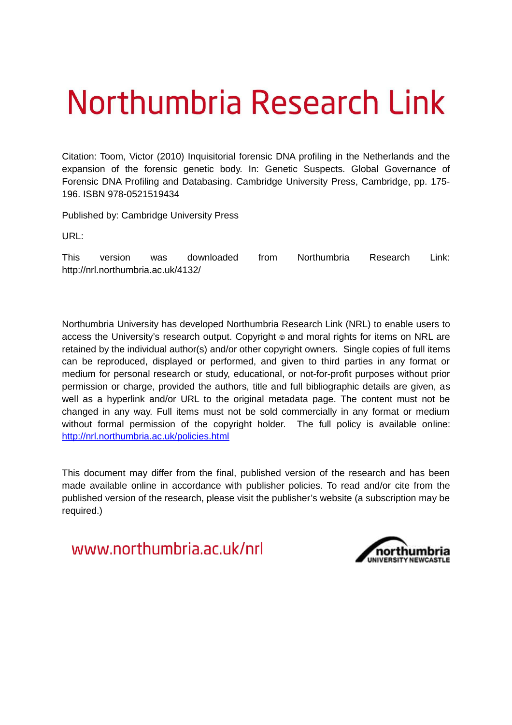# Northumbria Research Link

Citation: Toom, Victor (2010) Inquisitorial forensic DNA profiling in the Netherlands and the expansion of the forensic genetic body. In: Genetic Suspects. Global Governance of Forensic DNA Profiling and Databasing. Cambridge University Press, Cambridge, pp. 175- 196. ISBN 978-0521519434

Published by: Cambridge University Press

URL:

This version was downloaded from Northumbria Research Link: http://nrl.northumbria.ac.uk/4132/

Northumbria University has developed Northumbria Research Link (NRL) to enable users to access the University's research output. Copyright  $\circ$  and moral rights for items on NRL are retained by the individual author(s) and/or other copyright owners. Single copies of full items can be reproduced, displayed or performed, and given to third parties in any format or medium for personal research or study, educational, or not-for-profit purposes without prior permission or charge, provided the authors, title and full bibliographic details are given, as well as a hyperlink and/or URL to the original metadata page. The content must not be changed in any way. Full items must not be sold commercially in any format or medium without formal permission of the copyright holder. The full policy is available online: <http://nrl.northumbria.ac.uk/policies.html>

This document may differ from the final, published version of the research and has been made available online in accordance with publisher policies. To read and/or cite from the published version of the research, please visit the publisher's website (a subscription may be required.)

www.northumbria.ac.uk/nrl

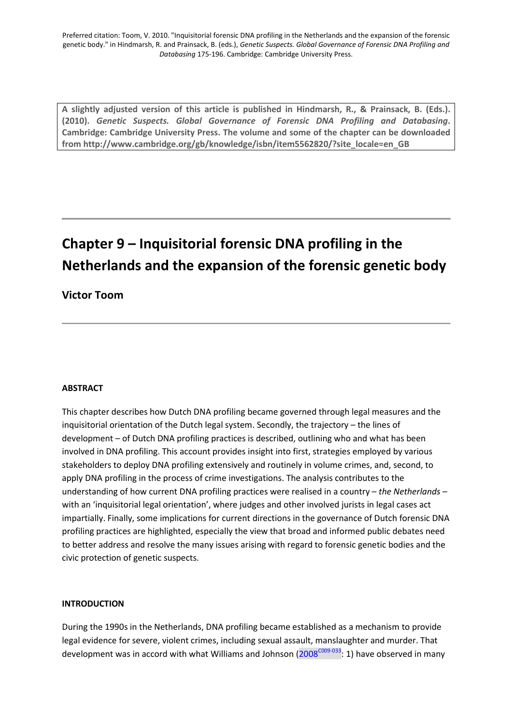<span id="page-1-0"></span>**A slightly adjusted version of this article is published in Hindmarsh, R., & Prainsack, B. (Eds.). (2010).** *Genetic Suspects. Global Governance of Forensic DNA Profiling and Databasing***. Cambridge: Cambridge University Press. The volume and some of the chapter can be downloaded from [http://www.cambridge.org/gb/knowledge/isbn/item5562820/?site\\_locale=en\\_GB](http://www.cambridge.org/gb/knowledge/isbn/item5562820/?site_locale=en_GB)** 

# **Chapter 9 – Inquisitorial forensic DNA profiling in the Netherlands and the expansion of the forensic genetic body**

# **Victor Toom**

# **ABSTRACT**

This chapter describes how Dutch DNA profiling became governed through legal measures and the inquisitorial orientation of the Dutch legal system. Secondly, the trajectory – the lines of development – of Dutch DNA profiling practices is described, outlining who and what has been involved in DNA profiling. This account provides insight into first, strategies employed by various stakeholders to deploy DNA profiling extensively and routinely in volume crimes, and, second, to apply DNA profiling in the process of crime investigations. The analysis contributes to the understanding of how current DNA profiling practices were realised in a country – *the Netherlands –* with an 'inquisitorial legal orientation', where judges and other involved jurists in legal cases act impartially. Finally, some implications for current directions in the governance of Dutch forensic DNA profiling practices are highlighted, especially the view that broad and informed public debates need to better address and resolve the many issues arising with regard to forensic genetic bodies and the civic protection of genetic suspects.

# **INTRODUCTION**

During the 1990s in the Netherlands, DNA profiling became established as a mechanism to provide legal evidence for severe, violent crimes, including sexual assault, manslaughter and murder. That development was in accord with what Williams and Johnson ( $2008^{\text{COO9-O33}}$ : 1) have observed in many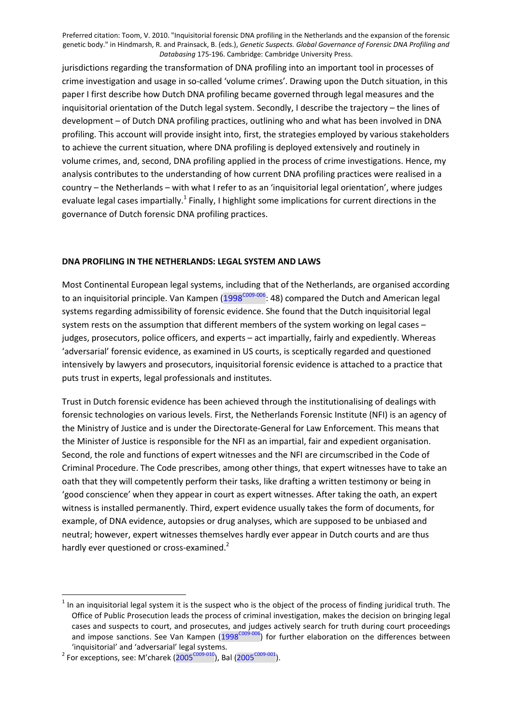<span id="page-2-0"></span>jurisdictions regarding the transformation of DNA profiling into an important tool in processes of crime investigation and usage in so-called 'volume crimes'. Drawing upon the Dutch situation, in this paper I first describe how Dutch DNA profiling became governed through legal measures and the inquisitorial orientation of the Dutch legal system. Secondly, I describe the trajectory – the lines of development – of Dutch DNA profiling practices, outlining who and what has been involved in DNA profiling. This account will provide insight into, first, the strategies employed by various stakeholders to achieve the current situation, where DNA profiling is deployed extensively and routinely in volume crimes, and, second, DNA profiling applied in the process of crime investigations. Hence, my analysis contributes to the understanding of how current DNA profiling practices were realised in a country – the Netherlands – with what I refer to as an 'inquisitorial legal orientation', where judges evaluate legal cases impartially[.](#page-1-0)<sup>1</sup> Finally, I highlight some implications for current directions in the governance of Dutch forensic DNA profiling practices.

#### **DNA PROFILING IN THE NETHERLANDS: LEGAL SYSTEM AND LAWS**

Most Continental European legal systems, including that of the Netherlands, are organised according to an inquisitorial principle. Van Kampen [\(1998](#page-14-0)<sup>C009-006</sup>: 48) compared the Dutch and American legal systems regarding admissibility of forensic evidence. She found that the Dutch inquisitorial legal system rests on the assumption that different members of the system working on legal cases – judges, prosecutors, police officers, and experts – act impartially, fairly and expediently. Whereas 'adversarial' forensic evidence, as examined in US courts, is sceptically regarded and questioned intensively by lawyers and prosecutors, inquisitorial forensic evidence is attached to a practice that puts trust in experts, legal professionals and institutes.

Trust in Dutch forensic evidence has been achieved through the institutionalising of dealings with forensic technologies on various levels. First, the Netherlands Forensic Institute (NFI) is an agency of the Ministry of Justice and is under the Directorate-General for Law Enforcement. This means that the Minister of Justice is responsible for the NFI as an impartial, fair and expedient organisation. Second, the role and functions of expert witnesses and the NFI are circumscribed in the Code of Criminal Procedure. The Code prescribes, among other things, that expert witnesses have to take an oath that they will competently perform their tasks, like drafting a written testimony or being in 'good conscience' when they appear in court as expert witnesses. After taking the oath, an expert witness is installed permanently. Third, expert evidence usually takes the form of documents, for example, of DNA evidence, autopsies or drug analyses, which are supposed to be unbiased and neutral; however, expert witnesses themselves hardly ever appear in Dutch courts and are thus hardly ever questioned or cross-examine[d.](#page-1-0)<sup>2</sup>

 $1$  In an inquisitorial legal system it is the suspect who is the object of the process of finding juridical truth. The Office of Public Prosecution leads the process of criminal investigation, makes the decision on bringing legal cases and suspects to court, and prosecutes, and judges actively search for truth during court proceedings and impose sanctions. See Van Kampen  $(1998^{\text{COO9-006}})$  $(1998^{\text{COO9-006}})$  $(1998^{\text{COO9-006}})$  for further elaboration on the differences between 'inquisitorial' and 'adversarial' legal systems.

<sup>&</sup>lt;sup>2</sup> For exceptions, see: M'charek ([2005](#page-13-0)<sup>C009-010</sup>), Bal (2005<sup>C009-001</sup>).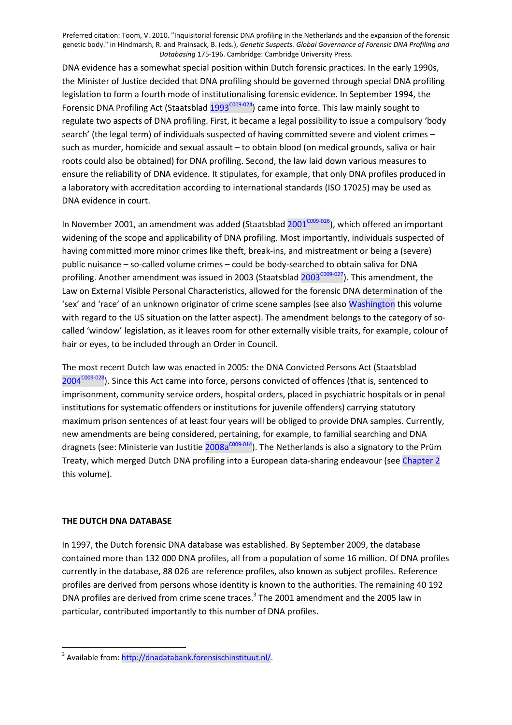DNA evidence has a somewhat special position within Dutch forensic practices. In the early 1990s, the Minister of Justice decided that DNA profiling should be governed through special DNA profiling legislation to form a fourth mode of institutionalising forensic evidence. In September 1994, the Forensic DNA Profiling Act (Staatsblad  $1993^{\text{COO9-O24}}$ ) came into force. This law mainly sought to regulate two aspects of DNA profiling. First, it became a legal possibility to issue a compulsory 'body search' (the legal term) of individuals suspected of having committed severe and violent crimes – such as murder, homicide and sexual assault – to obtain blood (on medical grounds, saliva or hair roots could also be obtained) for DNA profiling. Second, the law laid down various measures to ensure the reliability of DNA evidence. It stipulates, for example, that only DNA profiles produced in a laboratory with accreditation according to international standards (ISO 17025) may be used as DNA evidence in court.

In November [2001](#page-15-0), an amendment was added (Staatsblad  $2001^{\text{COO9}-026}$ ), which offered an important widening of the scope and applicability of DNA profiling. Most importantly, individuals suspected of having committed more minor crimes like theft, break-ins, and mistreatment or being a (severe) public nuisance – so-called volume crimes – could be body-searched to obtain saliva for DNA profiling. Another amendment was issued in [2003](#page-15-0) (Staatsblad  $2003^{\text{COO9-O27}}$ ). This amendment, the Law on External Visible Personal Characteristics, allowed for the forensic DNA determination of the 'sex' and 'race' of an unknown originator of crime scene samples (see also Washington this volume with regard to the US situation on the latter aspect). The amendment belongs to the category of socalled 'window' legislation, as it leaves room for other externally visible traits, for example, colour of hair or eyes, to be included through an Order in Council.

The most recent Dutch law was enacted in 2005: the DNA Convicted Persons Act (Staatsblad  $2004^{\text{CO}9-028}$  $2004^{\text{CO}9-028}$ ). Since this Act came into force, persons convicted of offences (that is, sentenced to imprisonment, community service orders, hospital orders, placed in psychiatric hospitals or in penal institutions for systematic offenders or institutions for juvenile offenders) carrying statutory maximum prison sentences of at least four years will be obliged to provide DNA samples. Currently, new amendments are being considered, pertaining, for example, to familial searching and DNA dragnets (see: Ministerie van Justitie [2008a](#page-14-0)<sup>c009-014</sup>). The Netherlands is also a signatory to the Prüm Treaty, which merged Dutch DNA profiling into a European data-sharing endeavour (see Chapter 2 this volume).

# **THE DUTCH DNA DATABASE**

In 1997, the Dutch forensic DNA database was established. By September 2009, the database contained more than 132 000 DNA profiles, all from a population of some 16 million. Of DNA profiles currently in the database, 88 026 are reference profiles, also known as subject profiles. Reference profiles are derived from persons whose identity is known to the authorities. The remaining 40 192 DNA profiles are derived from crime scene traces[.](#page-2-0)<sup>3</sup> The 2001 amendment and the 2005 law in particular, contributed importantly to this number of DNA profiles.

<sup>&</sup>lt;sup>3</sup> Available from: http://dnadatabank.forensischinstituut.nl/.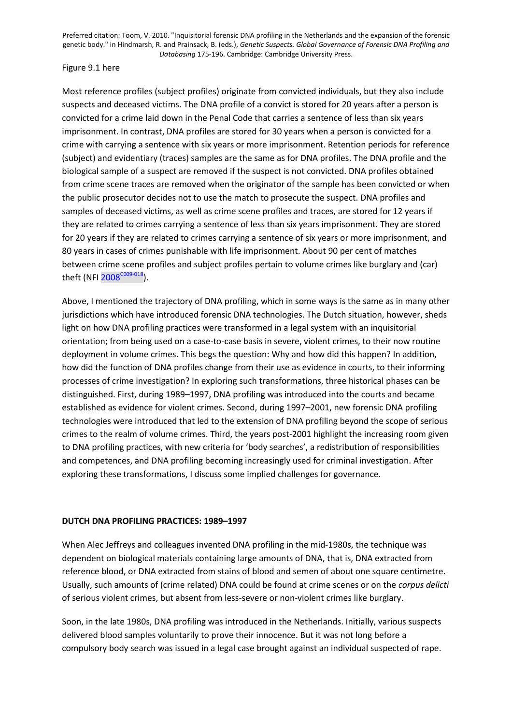#### <span id="page-4-0"></span>Figure 9.1 here

Most reference profiles (subject profiles) originate from convicted individuals, but they also include suspects and deceased victims. The DNA profile of a convict is stored for 20 years after a person is convicted for a crime laid down in the Penal Code that carries a sentence of less than six years imprisonment. In contrast, DNA profiles are stored for 30 years when a person is convicted for a crime with carrying a sentence with six years or more imprisonment. Retention periods for reference (subject) and evidentiary (traces) samples are the same as for DNA profiles. The DNA profile and the biological sample of a suspect are removed if the suspect is not convicted. DNA profiles obtained from crime scene traces are removed when the originator of the sample has been convicted or when the public prosecutor decides not to use the match to prosecute the suspect. DNA profiles and samples of deceased victims, as well as crime scene profiles and traces, are stored for 12 years if they are related to crimes carrying a sentence of less than six years imprisonment. They are stored for 20 years if they are related to crimes carrying a sentence of six years or more imprisonment, and 80 years in cases of crimes punishable with life imprisonment. About 90 per cent of matches between crime scene profiles and subject profiles pertain to volume crimes like burglary and (car) theft (NFI [2008](#page-14-0)<sup>C009-018</sup>).

Above, I mentioned the trajectory of DNA profiling, which in some ways is the same as in many other jurisdictions which have introduced forensic DNA technologies. The Dutch situation, however, sheds light on how DNA profiling practices were transformed in a legal system with an inquisitorial orientation; from being used on a case-to-case basis in severe, violent crimes, to their now routine deployment in volume crimes. This begs the question: Why and how did this happen? In addition, how did the function of DNA profiles change from their use as evidence in courts, to their informing processes of crime investigation? In exploring such transformations, three historical phases can be distinguished. First, during 1989–1997, DNA profiling was introduced into the courts and became established as evidence for violent crimes. Second, during 1997–2001, new forensic DNA profiling technologies were introduced that led to the extension of DNA profiling beyond the scope of serious crimes to the realm of volume crimes. Third, the years post-2001 highlight the increasing room given to DNA profiling practices, with new criteria for 'body searches', a redistribution of responsibilities and competences, and DNA profiling becoming increasingly used for criminal investigation. After exploring these transformations, I discuss some implied challenges for governance.

# **DUTCH DNA PROFILING PRACTICES: 1989–1997**

When Alec Jeffreys and colleagues invented DNA profiling in the mid-1980s, the technique was dependent on biological materials containing large amounts of DNA, that is, DNA extracted from reference blood, or DNA extracted from stains of blood and semen of about one square centimetre. Usually, such amounts of (crime related) DNA could be found at crime scenes or on the *corpus delicti* of serious violent crimes, but absent from less-severe or non-violent crimes like burglary.

Soon, in the late 1980s, DNA profiling was introduced in the Netherlands. Initially, various suspects delivered blood samples voluntarily to prove their innocence. But it was not long before a compulsory body search was issued in a legal case brought against an individual suspected of rape.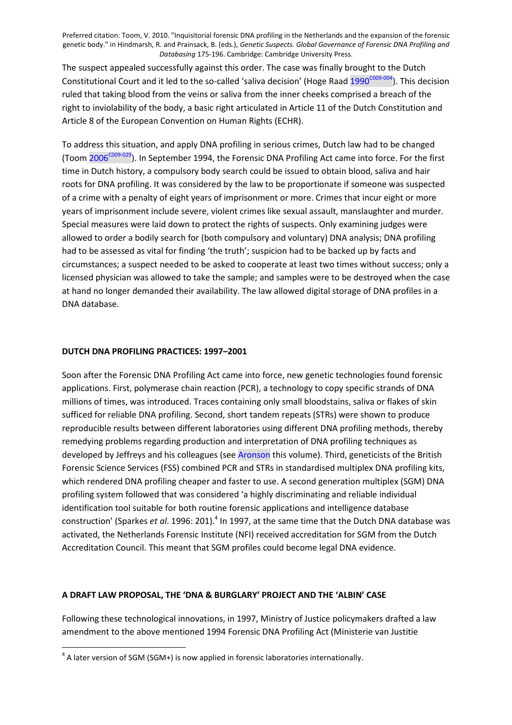<span id="page-5-0"></span>The suspect appealed successfully against this order. The case was finally brought to the Dutch Constitutional Court and it led to the so-called 'saliva decision' (Hoge Raad [1990](#page-14-0)<sup>C009-004</sup>). This decision ruled that taking blood from the veins or saliva from the inner cheeks comprised a breach of the right to inviolability of the body, a basic right articulated in Article 11 of the Dutch Constitution and Article 8 of the European Convention on Human Rights (ECHR).

To address this situation, and apply DNA profiling in serious crimes, Dutch law had to be changed (Toom [2006](#page-15-0)<sup>C009-029</sup>). In September 1994, the Forensic DNA Profiling Act came into force. For the first time in Dutch history, a compulsory body search could be issued to obtain blood, saliva and hair roots for DNA profiling. It was considered by the law to be proportionate if someone was suspected of a crime with a penalty of eight years of imprisonment or more. Crimes that incur eight or more years of imprisonment include severe, violent crimes like sexual assault, manslaughter and murder. Special measures were laid down to protect the rights of suspects. Only examining judges were allowed to order a bodily search for (both compulsory and voluntary) DNA analysis; DNA profiling had to be assessed as vital for finding 'the truth'; suspicion had to be backed up by facts and circumstances; a suspect needed to be asked to cooperate at least two times without success; only a licensed physician was allowed to take the sample; and samples were to be destroyed when the case at hand no longer demanded their availability. The law allowed digital storage of DNA profiles in a DNA database.

# **DUTCH DNA PROFILING PRACTICES: 1997–2001**

Soon after the Forensic DNA Profiling Act came into force, new genetic technologies found forensic applications. First, polymerase chain reaction (PCR), a technology to copy specific strands of DNA millions of times, was introduced. Traces containing only small bloodstains, saliva or flakes of skin sufficed for reliable DNA profiling. Second, short tandem repeats (STRs) were shown to produce reproducible results between different laboratories using different DNA profiling methods, thereby remedying problems regarding production and interpretation of DNA profiling techniques as developed by Jeffreys and his colleagues (see Aronson this volume). Third, geneticists of the British Forensic Science Services (FSS) combined PCR and STRs in standardised multiplex DNA profiling kits, which rendered DNA profiling cheaper and faster to use. A second generation multiplex (SGM) DNA profiling system followed that was considered 'a highly discriminating and reliable individual identification tool suitable for both routine forensic applications and intelligence database construction' (Sparkes *et al.* 1996: 201).<sup>[4](#page-4-0)</sup> In 1997, at the same time that the Dutch DNA database was activated, the Netherlands Forensic Institute (NFI) received accreditation for SGM from the Dutch Accreditation Council. This meant that SGM profiles could become legal DNA evidence.

#### **A DRAFT LAW PROPOSAL, THE 'DNA & BURGLARY' PROJECT AND THE 'ALBIN' CASE**

Following these technological innovations, in 1997, Ministry of Justice policymakers drafted a law amendment to the above mentioned 1994 Forensic DNA Profiling Act (Ministerie van Justitie

 $4$  A later version of SGM (SGM+) is now applied in forensic laboratories internationally.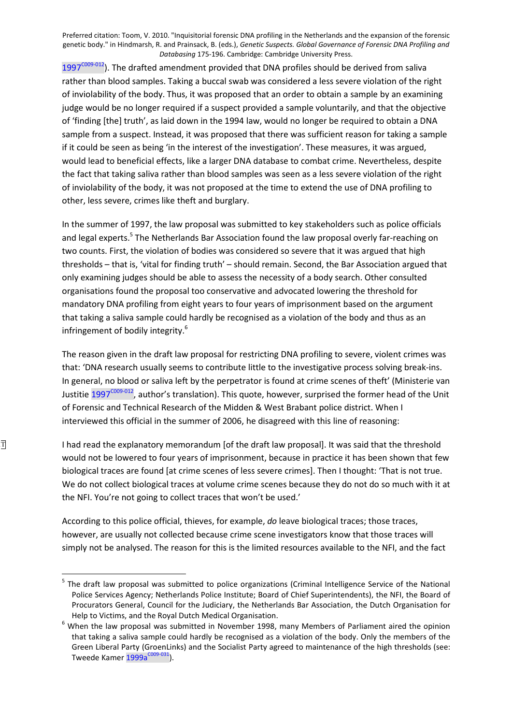<span id="page-6-0"></span> $1997^{\text{COO9-O12}}$  $1997^{\text{COO9-O12}}$ ). The drafted amendment provided that DNA profiles should be derived from saliva rather than blood samples. Taking a buccal swab was considered a less severe violation of the right of inviolability of the body. Thus, it was proposed that an order to obtain a sample by an examining judge would be no longer required if a suspect provided a sample voluntarily, and that the objective of 'finding [the] truth', as laid down in the 1994 law, would no longer be required to obtain a DNA sample from a suspect. Instead, it was proposed that there was sufficient reason for taking a sample if it could be seen as being 'in the interest of the investigation'. These measures, it was argued, would lead to beneficial effects, like a larger DNA database to combat crime. Nevertheless, despite the fact that taking saliva rather than blood samples was seen as a less severe violation of the right of inviolability of the body, it was not proposed at the time to extend the use of DNA profiling to other, less severe, crimes like theft and burglary.

In the summer of 1997, the law proposal was submitted to key stakeholders such as police officials and legal experts[.](#page-5-0)<sup>5</sup> The Netherlands Bar Association found the law proposal overly far-reaching on two counts. First, the violation of bodies was considered so severe that it was argued that high thresholds – that is, 'vital for finding truth' – should remain. Second, the Bar Association argued that only examining judges should be able to assess the necessity of a body search. Other consulted organisations found the proposal too conservative and advocated lowering the threshold for mandatory DNA profiling from eight years to four years of imprisonment based on the argument that taking a saliva sample could hardly be recognised as a violation of the body and thus as an infringement of bodily integrity[.](#page-5-0)<sup>6</sup>

The reason given in the draft law proposal for restricting DNA profiling to severe, violent crimes was that: 'DNA research usually seems to contribute little to the investigative process solving break-ins. In general, no blood or saliva left by the perpetrator is found at crime scenes of theft' (Ministerie van Justitie [1997](#page-14-0)<sup>C009-012</sup>, author's translation). This quote, however, surprised the former head of the Unit of Forensic and Technical Research of the Midden & West Brabant police district. When I interviewed this official in the summer of 2006, he disagreed with this line of reasoning:

I had read the explanatory memorandum [of the draft law proposal]. It was said that the threshold would not be lowered to four years of imprisonment, because in practice it has been shown that few biological traces are found [at crime scenes of less severe crimes]. Then I thought: 'That is not true. We do not collect biological traces at volume crime scenes because they do not do so much with it at the NFI. You're not going to collect traces that won't be used.'

According to this police official, thieves, for example, *do* leave biological traces; those traces, however, are usually not collected because crime scene investigators know that those traces will simply not be analysed. The reason for this is the limited resources available to the NFI, and the fact

<sup>&</sup>lt;sup>5</sup> The draft law proposal was submitted to police organizations (Criminal Intelligence Service of the National Police Services Agency; Netherlands Police Institute; Board of Chief Superintendents), the NFI, the Board of Procurators General, Council for the Judiciary, the Netherlands Bar Association, the Dutch Organisation for Help to Victims, and the Royal Dutch Medical Organisation.

 $<sup>6</sup>$  When the law proposal was submitted in November 1998, many Members of Parliament aired the opinion</sup> that taking a saliva sample could hardly be recognised as a violation of the body. Only the members of the Green Liberal Party (GroenLinks) and the Socialist Party agreed to maintenance of the high thresholds (see: Tweede Kamer  $1999a^{\text{CO09-031}}$  $1999a^{\text{CO09-031}}$ ).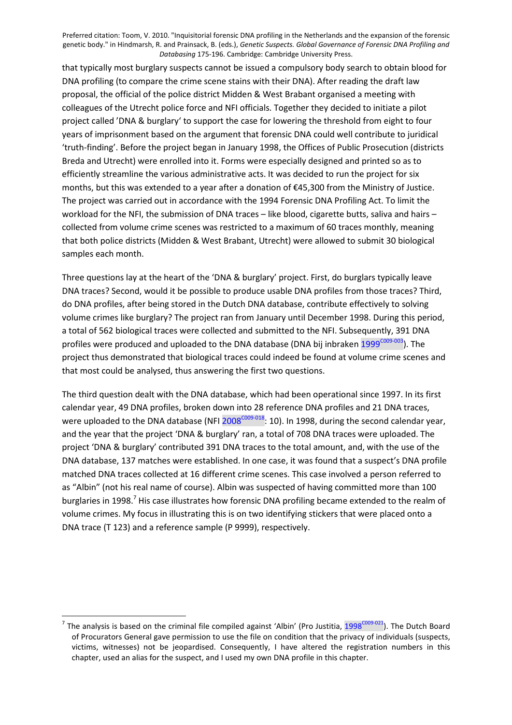<span id="page-7-0"></span>that typically most burglary suspects cannot be issued a compulsory body search to obtain blood for DNA profiling (to compare the crime scene stains with their DNA). After reading the draft law proposal, the official of the police district Midden & West Brabant organised a meeting with colleagues of the Utrecht police force and NFI officials. Together they decided to initiate a pilot project called 'DNA & burglary' to support the case for lowering the threshold from eight to four years of imprisonment based on the argument that forensic DNA could well contribute to juridical 'truth-finding'. Before the project began in January 1998, the Offices of Public Prosecution (districts Breda and Utrecht) were enrolled into it. Forms were especially designed and printed so as to efficiently streamline the various administrative acts. It was decided to run the project for six months, but this was extended to a year after a donation of €45,300 from the Ministry of Justice. The project was carried out in accordance with the 1994 Forensic DNA Profiling Act. To limit the workload for the NFI, the submission of DNA traces – like blood, cigarette butts, saliva and hairs – collected from volume crime scenes was restricted to a maximum of 60 traces monthly, meaning that both police districts (Midden & West Brabant, Utrecht) were allowed to submit 30 biological samples each month.

Three questions lay at the heart of the 'DNA & burglary' project. First, do burglars typically leave DNA traces? Second, would it be possible to produce usable DNA profiles from those traces? Third, do DNA profiles, after being stored in the Dutch DNA database, contribute effectively to solving volume crimes like burglary? The project ran from January until December 1998. During this period, a total of 562 biological traces were collected and submitted to the NFI. Subsequently, 391 DNA profiles were produced and uploaded to the DNA database (DNA bij inbraken [1999](#page-14-0)<sup>C009-003</sup>). The project thus demonstrated that biological traces could indeed be found at volume crime scenes and that most could be analysed, thus answering the first two questions.

The third question dealt with the DNA database, which had been operational since 1997. In its first calendar year, 49 DNA profiles, broken down into 28 reference DNA profiles and 21 DNA traces, were uploaded to the DNA database (NFI  $2008^{\text{CO}9-018}$ : 10). In 1998, during the second calendar year, and the year that the project 'DNA & burglary' ran, a total of 708 DNA traces were uploaded. The project 'DNA & burglary' contributed 391 DNA traces to the total amount, and, with the use of the DNA database, 137 matches were established. In one case, it was found that a suspect's DNA profile matched DNA traces collected at 16 different crime scenes. This case involved a person referred to as "Albin" (not his real name of course). Albin was suspected of having committed more than 100 burglaries in 1998.<sup>[7](#page-6-0)</sup> His case illustrates how forensic DNA profiling became extended to the realm of volume crimes. My focus in illustrating this is on two identifying stickers that were placed onto a DNA trace (T 123) and a reference sample (P 9999), respectively.

<sup>&</sup>lt;sup>7</sup> The analysis is based on the criminal file compiled against 'Albin' (Pro Justitia,  $1998^{\text{COO9-O21}}$  $1998^{\text{COO9-O21}}$ ). The Dutch Board of Procurators General gave permission to use the file on condition that the privacy of individuals (suspects, victims, witnesses) not be jeopardised. Consequently, I have altered the registration numbers in this chapter, used an alias for the suspect, and I used my own DNA profile in this chapter.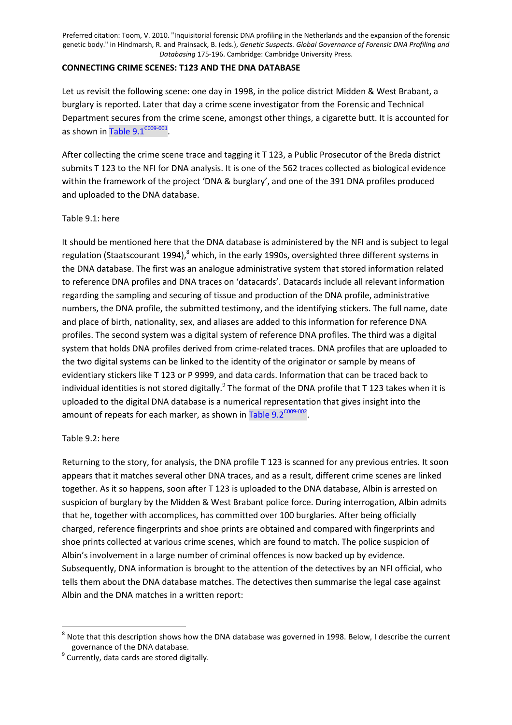#### **CONNECTING CRIME SCENES: T123 AND THE DNA DATABASE**

Let us revisit the following scene: one day in 1998, in the police district Midden & West Brabant, a burglary is reported. Later that day a crime scene investigator from the Forensic and Technical Department secures from the crime scene, amongst other things, a cigarette butt. It is accounted for as shown in Table 9.1 $^{\text{COO9-OO1}}$ .

After collecting the crime scene trace and tagging it T 123, a Public Prosecutor of the Breda district submits T 123 to the NFI for DNA analysis. It is one of the 562 traces collected as biological evidence within the framework of the project 'DNA & burglary', and one of the 391 DNA profiles produced and uploaded to the DNA database.

# Table 9.1: here

It should be mentioned here that the DNA database is administered by the NFI and is subject to legal regulation (Staatscourant 1994), <sup>[8](#page-7-0)</sup> which, in the early 1990s, oversighted three different systems in the DNA database. The first was an analogue administrative system that stored information related to reference DNA profiles and DNA traces on 'datacards'. Datacards include all relevant information regarding the sampling and securing of tissue and production of the DNA profile, administrative numbers, the DNA profile, the submitted testimony, and the identifying stickers. The full name, date and place of birth, nationality, sex, and aliases are added to this information for reference DNA profiles. The second system was a digital system of reference DNA profiles. The third was a digital system that holds DNA profiles derived from crime-related traces. DNA profiles that are uploaded to the two digital systems can be linked to the identity of the originator or sample by means of evidentiary stickers like T 123 or P 9999, and data cards. Information that can be traced back to individual identities is not stored digitally[.](#page-7-0)<sup>9</sup> The format of the DNA profile that T 123 takes when it is uploaded to the digital DNA database is a numerical representation that gives insight into the amount of repeats for each marker, as shown in Table 9.2<sup>c009-002</sup>.

# Table 9.2: here

Returning to the story, for analysis, the DNA profile T 123 is scanned for any previous entries. It soon appears that it matches several other DNA traces, and as a result, different crime scenes are linked together. As it so happens, soon after T 123 is uploaded to the DNA database, Albin is arrested on suspicion of burglary by the Midden & West Brabant police force. During interrogation, Albin admits that he, together with accomplices, has committed over 100 burglaries. After being officially charged, reference fingerprints and shoe prints are obtained and compared with fingerprints and shoe prints collected at various crime scenes, which are found to match. The police suspicion of Albin's involvement in a large number of criminal offences is now backed up by evidence. Subsequently, DNA information is brought to the attention of the detectives by an NFI official, who tells them about the DNA database matches. The detectives then summarise the legal case against Albin and the DNA matches in a written report:

 $^8$  Note that this description shows how the DNA database was governed in 1998. Below, I describe the current governance of the DNA database.

<sup>&</sup>lt;sup>9</sup> Currently, data cards are stored digitally.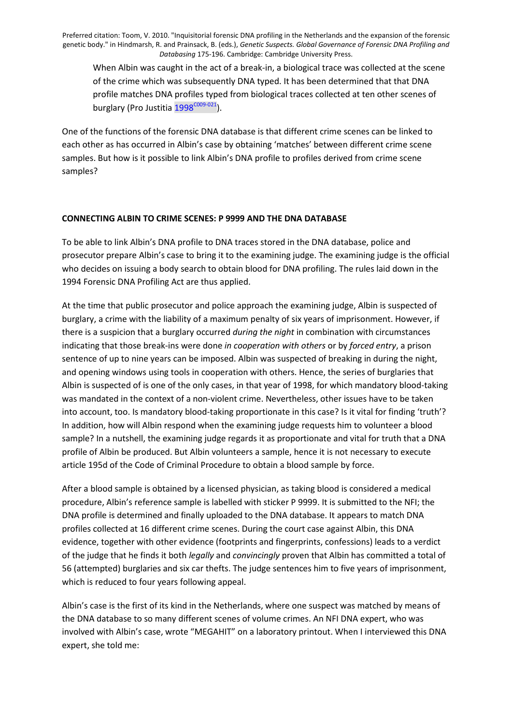<span id="page-9-0"></span>When Albin was caught in the act of a break-in, a biological trace was collected at the scene of the crime which was subsequently DNA typed. It has been determined that that DNA profile matches DNA profiles typed from biological traces collected at ten other scenes of burglary (Pro Justitia [1998](#page-15-0)<sup>C009-021</sup>).

One of the functions of the forensic DNA database is that different crime scenes can be linked to each other as has occurred in Albin's case by obtaining 'matches' between different crime scene samples. But how is it possible to link Albin's DNA profile to profiles derived from crime scene samples?

# **CONNECTING ALBIN TO CRIME SCENES: P 9999 AND THE DNA DATABASE**

To be able to link Albin's DNA profile to DNA traces stored in the DNA database, police and prosecutor prepare Albin's case to bring it to the examining judge. The examining judge is the official who decides on issuing a body search to obtain blood for DNA profiling. The rules laid down in the 1994 Forensic DNA Profiling Act are thus applied.

At the time that public prosecutor and police approach the examining judge, Albin is suspected of burglary, a crime with the liability of a maximum penalty of six years of imprisonment. However, if there is a suspicion that a burglary occurred *during the night* in combination with circumstances indicating that those break-ins were done *in cooperation with others* or by *forced entry*, a prison sentence of up to nine years can be imposed. Albin was suspected of breaking in during the night, and opening windows using tools in cooperation with others. Hence, the series of burglaries that Albin is suspected of is one of the only cases, in that year of 1998, for which mandatory blood-taking was mandated in the context of a non-violent crime. Nevertheless, other issues have to be taken into account, too. Is mandatory blood-taking proportionate in this case? Is it vital for finding 'truth'? In addition, how will Albin respond when the examining judge requests him to volunteer a blood sample? In a nutshell, the examining judge regards it as proportionate and vital for truth that a DNA profile of Albin be produced. But Albin volunteers a sample, hence it is not necessary to execute article 195d of the Code of Criminal Procedure to obtain a blood sample by force.

After a blood sample is obtained by a licensed physician, as taking blood is considered a medical procedure, Albin's reference sample is labelled with sticker P 9999. It is submitted to the NFI; the DNA profile is determined and finally uploaded to the DNA database. It appears to match DNA profiles collected at 16 different crime scenes. During the court case against Albin, this DNA evidence, together with other evidence (footprints and fingerprints, confessions) leads to a verdict of the judge that he finds it both *legally* and *convincingly* proven that Albin has committed a total of 56 (attempted) burglaries and six car thefts. The judge sentences him to five years of imprisonment, which is reduced to four years following appeal.

Albin's case is the first of its kind in the Netherlands, where one suspect was matched by means of the DNA database to so many different scenes of volume crimes. An NFI DNA expert, who was involved with Albin's case, wrote "MEGAHIT" on a laboratory printout. When I interviewed this DNA expert, she told me: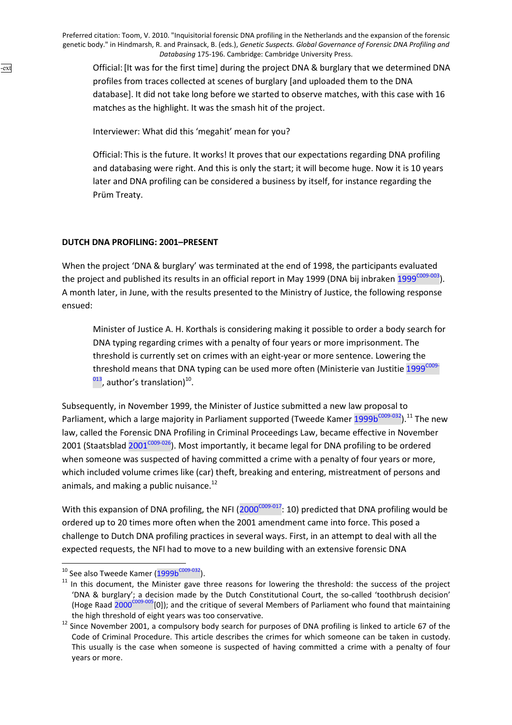Official: [It was for the first time] during the project DNA & burglary that we determined DNA profiles from traces collected at scenes of burglary [and uploaded them to the DNA database]. It did not take long before we started to observe matches, with this case with 16 matches as the highlight. It was the smash hit of the project.

Interviewer: What did this 'megahit' mean for you?

Official: This is the future. It works! It proves that our expectations regarding DNA profiling and databasing were right. And this is only the start; it will become huge. Now it is 10 years later and DNA profiling can be considered a business by itself, for instance regarding the Prüm Treaty.

# **DUTCH DNA PROFILING: 2001–PRESENT**

<span id="page-10-0"></span>-ext

When the project 'DNA & burglary' was terminated at the end of 1998, the participants evaluated the project and published its results in an official report in May [1999](#page-14-0) (DNA bij inbraken  $1999^{\text{C009-003}}$ ). A month later, in June, with the results presented to the Ministry of Justice, the following response ensued:

Minister of Justice A. H. Korthals is considering making it possible to order a body search for DNA typing regarding crimes with a penalty of four years or more imprisonment. The threshold is currently set on crimes with an eight-year or more sentence. Lowering the threshold means that DNA typing can be used more often (Ministerie van Justitie  $1999^{\text{CO09-}}$  $^{013}$ , author's translation)<sup>[10](#page-9-0)</sup>.

Subsequently, in November 1999, the Minister of Justice submitted a new law proposal to Parliament, which a large majority in Parliament supported (Tweede Kamer [1999b](#page-16-0)<sup>C009-032</sup>).<sup>[11](#page-9-0)</sup> The new law, called the Forensic DNA Profiling in Criminal Proceedings Law, became effective in November 2001 (Staatsblad  $2001^{\text{COO9-O26}}$ ). Most importantly, it became legal for DNA profiling to be ordered when someone was suspected of having committed a crime with a penalty of four years or more, which included volume crimes like (car) theft, breaking and entering, mistreatment of persons and animals, and making a public nuisance. $12$ 

With this expansion of DNA profiling, the NFI  $(2000^{\text{C009-017}}: 10)$  $(2000^{\text{C009-017}}: 10)$  predicted that DNA profiling would be ordered up to 20 times more often when the 2001 amendment came into force. This posed a challenge to Dutch DNA profiling practices in several ways. First, in an attempt to deal with all the expected requests, the NFI had to move to a new building with an extensive forensic DNA

 $10$  See also Tweede Kamer ([1999b](#page-16-0)<sup>C009-032</sup>).

<sup>&</sup>lt;sup>11</sup> In this document, the Minister gave three reasons for lowering the threshold: the success of the project 'DNA & burglary'; a decision made by the Dutch Constitutional Court, the so-called 'toothbrush decision' (Hoge Raad [2000](#page-14-0)<sup>C009-005</sup>[0]); and the critique of several Members of Parliament who found that maintaining the high threshold of eight years was too conservative.

<sup>&</sup>lt;sup>12</sup> Since November 2001, a compulsory body search for purposes of DNA profiling is linked to article 67 of the Code of Criminal Procedure. This article describes the crimes for which someone can be taken in custody. This usually is the case when someone is suspected of having committed a crime with a penalty of four years or more.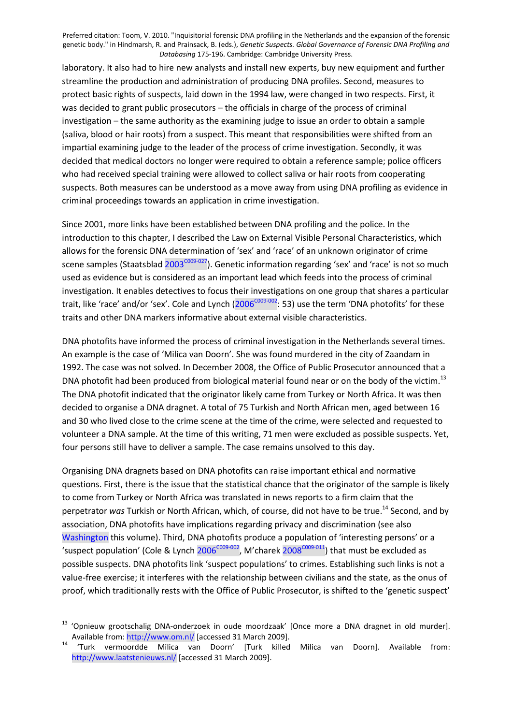<span id="page-11-0"></span>laboratory. It also had to hire new analysts and install new experts, buy new equipment and further streamline the production and administration of producing DNA profiles. Second, measures to protect basic rights of suspects, laid down in the 1994 law, were changed in two respects. First, it was decided to grant public prosecutors – the officials in charge of the process of criminal investigation – the same authority as the examining judge to issue an order to obtain a sample (saliva, blood or hair roots) from a suspect. This meant that responsibilities were shifted from an impartial examining judge to the leader of the process of crime investigation. Secondly, it was decided that medical doctors no longer were required to obtain a reference sample; police officers who had received special training were allowed to collect saliva or hair roots from cooperating suspects. Both measures can be understood as a move away from using DNA profiling as evidence in criminal proceedings towards an application in crime investigation.

Since 2001, more links have been established between DNA profiling and the police. In the introduction to this chapter, I described the Law on External Visible Personal Characteristics, which allows for the forensic DNA determination of 'sex' and 'race' of an unknown originator of crime scene samples (Staatsblad [2003](#page-15-0)<sup>c009-027</sup>). Genetic information regarding 'sex' and 'race' is not so much used as evidence but is considered as an important lead which feeds into the process of criminal investigation. It enables detectives to focus their investigations on one group that shares a particular trait, like 'race' and/or 'sex'. Cole and Lynch ( $2006^{\text{COO9-OO2}}$ : 53) use the term 'DNA photofits' for these traits and other DNA markers informative about external visible characteristics.

DNA photofits have informed the process of criminal investigation in the Netherlands several times. An example is the case of 'Milica van Doorn'. She was found murdered in the city of Zaandam in 1992. The case was not solved. In December 2008, the Office of Public Prosecutor announced that a DNA photofit had been produced from biological material found near or on the body of the victim.<sup>[13](#page-10-0)</sup> The DNA photofit indicated that the originator likely came from Turkey or North Africa. It was then decided to organise a DNA dragnet. A total of 75 Turkish and North African men, aged between 16 and 30 who lived close to the crime scene at the time of the crime, were selected and requested to volunteer a DNA sample. At the time of this writing, 71 men were excluded as possible suspects. Yet, four persons still have to deliver a sample. The case remains unsolved to this day.

Organising DNA dragnets based on DNA photofits can raise important ethical and normative questions. First, there is the issue that the statistical chance that the originator of the sample is likely to come from Turkey or North Africa was translated in news reports to a firm claim that the perpetrator *was* Turkish or North African, which, of course, did not have to be true.[14](#page-10-0) Second, and by association, DNA photofits have implications regarding privacy and discrimination (see also Washington this volume). Third, DNA photofits produce a population of 'interesting persons' or a 'suspect population' (Cole & Lynch  $2006^{\text{COO9-OO2}}$ , M'charek  $2008^{\text{COO9-O11}}$ ) that must be excluded as possible suspects. DNA photofits link 'suspect populations' to crimes. Establishing such links is not a value-free exercise; it interferes with the relationship between civilians and the state, as the onus of proof, which traditionally rests with the Office of Public Prosecutor, is shifted to the 'genetic suspect'

<sup>&</sup>lt;sup>13</sup> 'Opnieuw grootschalig DNA-onderzoek in oude moordzaak' [Once more a DNA dragnet in old murder]. Available from: http://www.om.nl/ [accessed 31 March 2009].

<sup>14</sup> 'Turk vermoordde Milica van Doorn' [Turk killed Milica van Doorn]. Available from: http://www.laatstenieuws.nl/ [accessed 31 March 2009].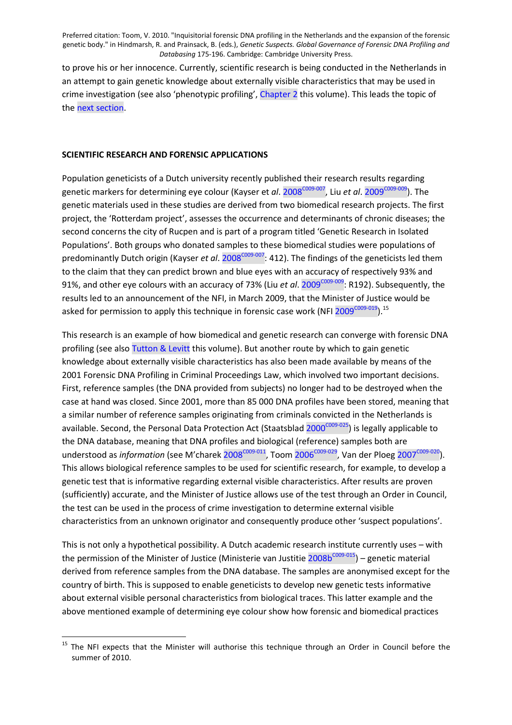to prove his or her innocence. Currently, scientific research is being conducted in the Netherlands in an attempt to gain genetic knowledge about externally visible characteristics that may be used in crime investigation (see also 'phenotypic profiling', Chapter 2 this volume). This leads the topic of the next section.

#### **SCIENTIFIC RESEARCH AND FORENSIC APPLICATIONS**

Population geneticists of a Dutch university recently published their research results regarding genetic markers for determining eye colour (Kayser et *al.* [2008](#page-14-0)<sup>C009-007</sup>, Liu *et al.* [2009](#page-14-0)<sup>C009-009</sup>). The genetic materials used in these studies are derived from two biomedical research projects. The first project, the 'Rotterdam project', assesses the occurrence and determinants of chronic diseases; the second concerns the city of Rucpen and is part of a program titled 'Genetic Research in Isolated Populations'. Both groups who donated samples to these biomedical studies were populations of predominantly Dutch origin (Kayser *et al.* [2008](#page-14-0)<sup>C009-007</sup>: 412). The findings of the geneticists led them to the claim that they can predict brown and blue eyes with an accuracy of respectively 93% and 91%, and other eye colours with an accuracy of 73% (Liu *et al.* [2009](#page-14-0)<sup>C009-009</sup>: R192). Subsequently, the results led to an announcement of the NFI, in March 2009, that the Minister of Justice would be asked for permission to apply this technique in forensic case work (NFI  $2009^{\text{COO9-O19}}$ ).<sup>[15](#page-11-0)</sup>

This research is an example of how biomedical and genetic research can converge with forensic DNA profiling (see also Tutton & Levitt this volume). But another route by which to gain genetic knowledge about externally visible characteristics has also been made available by means of the 2001 Forensic DNA Profiling in Criminal Proceedings Law, which involved two important decisions. First, reference samples (the DNA provided from subjects) no longer had to be destroyed when the case at hand was closed. Since 2001, more than 85 000 DNA profiles have been stored, meaning that a similar number of reference samples originating from criminals convicted in the Netherlands is available. Second, the Personal Data Protection Act (Staatsblad [2000](#page-15-0)<sup>C009-025</sup>) is legally applicable to the DNA database, meaning that DNA profiles and biological (reference) samples both are understood as *information* (see M'charek [2008](#page-14-0)<sup>C009-011</sup>, Toom [2006](#page-15-0)<sup>C009-029</sup>, Van der Ploeg [2007](#page-15-0)<sup>C009-020</sup>). This allows biological reference samples to be used for scientific research, for example, to develop a genetic test that is informative regarding external visible characteristics. After results are proven (sufficiently) accurate, and the Minister of Justice allows use of the test through an Order in Council, the test can be used in the process of crime investigation to determine external visible characteristics from an unknown originator and consequently produce other 'suspect populations'.

This is not only a hypothetical possibility. A Dutch academic research institute currently uses – with the permission of the Minister of Justice (Ministerie van Justitie  $2008b^{\text{COO9-015}}$ ) – genetic material derived from reference samples from the DNA database. The samples are anonymised except for the country of birth. This is supposed to enable geneticists to develop new genetic tests informative about external visible personal characteristics from biological traces. This latter example and the above mentioned example of determining eye colour show how forensic and biomedical practices

<sup>&</sup>lt;sup>15</sup> The NFI expects that the Minister will authorise this technique through an Order in Council before the summer of 2010.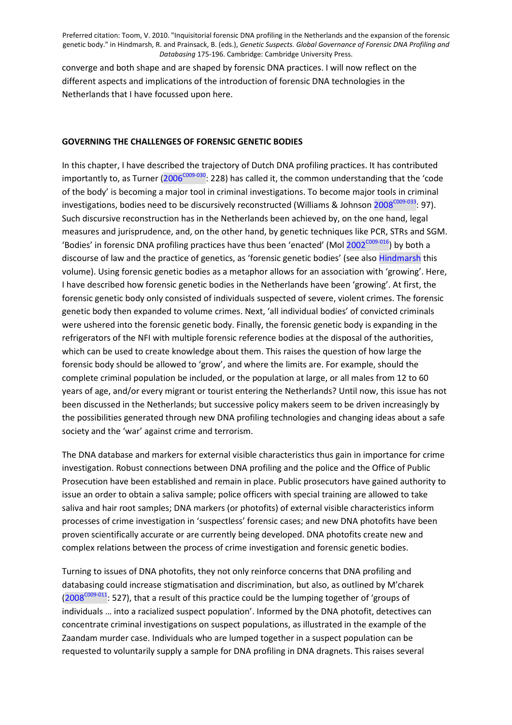<span id="page-13-0"></span>converge and both shape and are shaped by forensic DNA practices. I will now reflect on the different aspects and implications of the introduction of forensic DNA technologies in the Netherlands that I have focussed upon here.

#### **GOVERNING THE CHALLENGES OF FORENSIC GENETIC BODIES**

In this chapter, I have described the trajectory of Dutch DNA profiling practices. It has contributed importantly to, as Turner ( $2006^{\text{COO9-030}}$ : 228) has called it, the common understanding that the 'code of the body' is becoming a major tool in criminal investigations. To become major tools in criminal investigations, bodies need to be discursively reconstructed (Williams & Johnson [2008](#page-16-0)<sup>COO9-033</sup>: 97). Such discursive reconstruction has in the Netherlands been achieved by, on the one hand, legal measures and jurisprudence, and, on the other hand, by genetic techniques like PCR, STRs and SGM. 'Bodies' in forensic DNA profiling practices have thus been 'enacted' (Mol [2002](#page-14-0)<sup>C009-016</sup>) by both a discourse of law and the practice of genetics, as 'forensic genetic bodies' (see also Hindmarsh this volume). Using forensic genetic bodies as a metaphor allows for an association with 'growing'. Here, I have described how forensic genetic bodies in the Netherlands have been 'growing'. At first, the forensic genetic body only consisted of individuals suspected of severe, violent crimes. The forensic genetic body then expanded to volume crimes. Next, 'all individual bodies' of convicted criminals were ushered into the forensic genetic body. Finally, the forensic genetic body is expanding in the refrigerators of the NFI with multiple forensic reference bodies at the disposal of the authorities, which can be used to create knowledge about them. This raises the question of how large the forensic body should be allowed to 'grow', and where the limits are. For example, should the complete criminal population be included, or the population at large, or all males from 12 to 60 years of age, and/or every migrant or tourist entering the Netherlands? Until now, this issue has not been discussed in the Netherlands; but successive policy makers seem to be driven increasingly by the possibilities generated through new DNA profiling technologies and changing ideas about a safe society and the 'war' against crime and terrorism.

The DNA database and markers for external visible characteristics thus gain in importance for crime investigation. Robust connections between DNA profiling and the police and the Office of Public Prosecution have been established and remain in place. Public prosecutors have gained authority to issue an order to obtain a saliva sample; police officers with special training are allowed to take saliva and hair root samples; DNA markers (or photofits) of external visible characteristics inform processes of crime investigation in 'suspectless' forensic cases; and new DNA photofits have been proven scientifically accurate or are currently being developed. DNA photofits create new and complex relations between the process of crime investigation and forensic genetic bodies.

Turning to issues of DNA photofits, they not only reinforce concerns that DNA profiling and databasing could increase stigmatisation and discrimination, but also, as outlined by M'charek  $(2008^{\text{COO9}-011}$  $(2008^{\text{COO9}-011}$ : 527), that a result of this practice could be the lumping together of 'groups of individuals … into a racialized suspect population'. Informed by the DNA photofit, detectives can concentrate criminal investigations on suspect populations, as illustrated in the example of the Zaandam murder case. Individuals who are lumped together in a suspect population can be requested to voluntarily supply a sample for DNA profiling in DNA dragnets. This raises several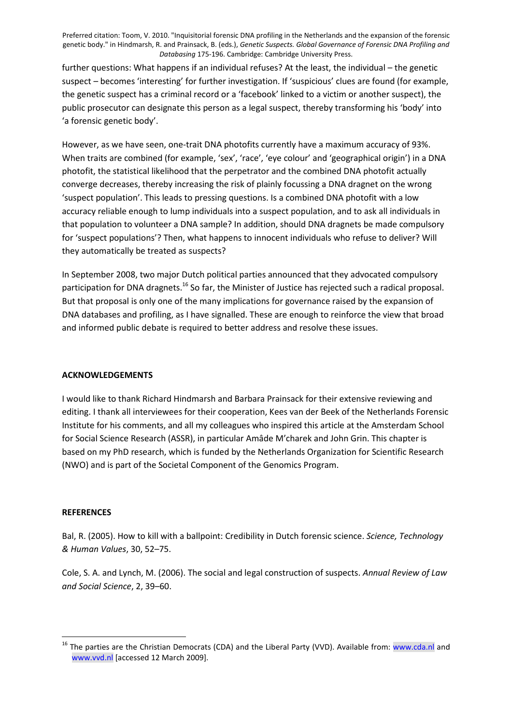<span id="page-14-0"></span>further questions: What happens if an individual refuses? At the least, the individual – the genetic suspect – becomes 'interesting' for further investigation. If 'suspicious' clues are found (for example, the genetic suspect has a criminal record or a 'facebook' linked to a victim or another suspect), the public prosecutor can designate this person as a legal suspect, thereby transforming his 'body' into 'a forensic genetic body'.

However, as we have seen, one-trait DNA photofits currently have a maximum accuracy of 93%. When traits are combined (for example, 'sex', 'race', 'eye colour' and 'geographical origin') in a DNA photofit, the statistical likelihood that the perpetrator and the combined DNA photofit actually converge decreases, thereby increasing the risk of plainly focussing a DNA dragnet on the wrong 'suspect population'. This leads to pressing questions. Is a combined DNA photofit with a low accuracy reliable enough to lump individuals into a suspect population, and to ask all individuals in that population to volunteer a DNA sample? In addition, should DNA dragnets be made compulsory for 'suspect populations'? Then, what happens to innocent individuals who refuse to deliver? Will they automatically be treated as suspects?

In September 2008, two major Dutch political parties announced that they advocated compulsory participation for DNA dragnets.<sup>[16](#page-13-0)</sup> So far, the Minister of Justice has rejected such a radical proposal. But that proposal is only one of the many implications for governance raised by the expansion of DNA databases and profiling, as I have signalled. These are enough to reinforce the view that broad and informed public debate is required to better address and resolve these issues.

# **ACKNOWLEDGEMENTS**

I would like to thank Richard Hindmarsh and Barbara Prainsack for their extensive reviewing and editing. I thank all interviewees for their cooperation, Kees van der Beek of the Netherlands Forensic Institute for his comments, and all my colleagues who inspired this article at the Amsterdam School for Social Science Research (ASSR), in particular Amâde M'charek and John Grin. This chapter is based on my PhD research, which is funded by the Netherlands Organization for Scientific Research (NWO) and is part of the Societal Component of the Genomics Program.

#### **REFERENCES**

<u> 1980 - Johann Barn, mars an t-Amerikaansk ferske</u>

Bal, R. (2005). How to kill with a ballpoint: Credibility in Dutch forensic science. *Science, Technology & Human Values*, 30, 52–75.

Cole, S. A. and Lynch, M. (2006). The social and legal construction of suspects. *Annual Review of Law and Social Science*, 2, 39–60.

<sup>&</sup>lt;sup>16</sup> The parties are the Christian Democrats (CDA) and the Liberal Party (VVD). Available from: www.cda.nl and www.vvd.nl [accessed 12 March 2009].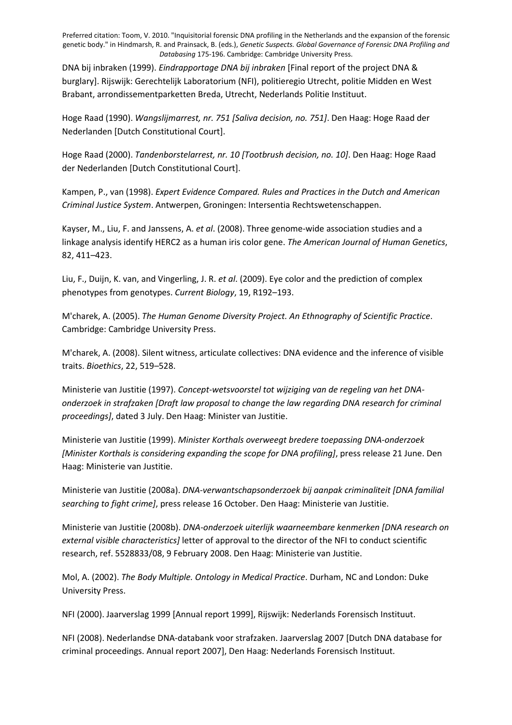<span id="page-15-0"></span>DNA bij inbraken (1999). *Eindrapportage DNA bij inbraken* [Final report of the project DNA & burglary]. Rijswijk: Gerechtelijk Laboratorium (NFI), politieregio Utrecht, politie Midden en West Brabant, arrondissementparketten Breda, Utrecht, Nederlands Politie Instituut.

Hoge Raad (1990). *Wangslijmarrest, nr. 751 [Saliva decision, no. 751]*. Den Haag: Hoge Raad der Nederlanden [Dutch Constitutional Court].

Hoge Raad (2000). *Tandenborstelarrest, nr. 10 [Tootbrush decision, no. 10]*. Den Haag: Hoge Raad der Nederlanden [Dutch Constitutional Court].

Kampen, P., van (1998). *Expert Evidence Compared. Rules and Practices in the Dutch and American Criminal Justice System*. Antwerpen, Groningen: Intersentia Rechtswetenschappen.

Kayser, M., Liu, F. and Janssens, A. *et al*. (2008). Three genome-wide association studies and a linkage analysis identify HERC2 as a human iris color gene. *The American Journal of Human Genetics*, 82, 411–423.

Liu, F., Duijn, K. van, and Vingerling, J. R. *et al*. (2009). Eye color and the prediction of complex phenotypes from genotypes. *Current Biology*, 19, R192–193.

M'charek, A. (2005). *The Human Genome Diversity Project. An Ethnography of Scientific Practice*. Cambridge: Cambridge University Press.

M'charek, A. (2008). Silent witness, articulate collectives: DNA evidence and the inference of visible traits. *Bioethics*, 22, 519–528.

Ministerie van Justitie (1997). *Concept-wetsvoorstel tot wijziging van de regeling van het DNAonderzoek in strafzaken [Draft law proposal to change the law regarding DNA research for criminal proceedings]*, dated 3 July. Den Haag: Minister van Justitie.

Ministerie van Justitie (1999). *Minister Korthals overweegt bredere toepassing DNA-onderzoek [Minister Korthals is considering expanding the scope for DNA profiling]*, press release 21 June. Den Haag: Ministerie van Justitie.

Ministerie van Justitie (2008a). *DNA-verwantschapsonderzoek bij aanpak criminaliteit [DNA familial searching to fight crime]*, press release 16 October. Den Haag: Ministerie van Justitie.

Ministerie van Justitie (2008b). *DNA-onderzoek uiterlijk waarneembare kenmerken [DNA research on external visible characteristics]* letter of approval to the director of the NFI to conduct scientific research, ref. 5528833/08, 9 February 2008. Den Haag: Ministerie van Justitie.

Mol, A. (2002). *The Body Multiple. Ontology in Medical Practice*. Durham, NC and London: Duke University Press.

NFI (2000). Jaarverslag 1999 [Annual report 1999], Rijswijk: Nederlands Forensisch Instituut.

NFI (2008). Nederlandse DNA-databank voor strafzaken. Jaarverslag 2007 [Dutch DNA database for criminal proceedings. Annual report 2007], Den Haag: Nederlands Forensisch Instituut.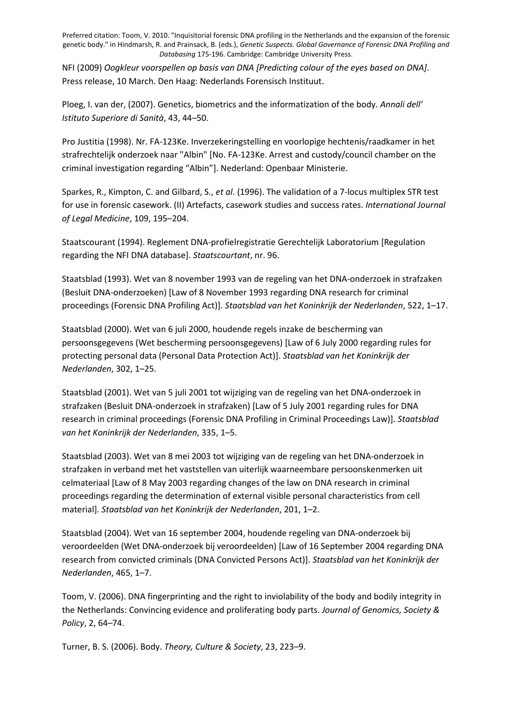<span id="page-16-0"></span>NFI (2009) *Oogkleur voorspellen op basis van DNA [Predicting colour of the eyes based on DNA]*. Press release, 10 March. Den Haag: Nederlands Forensisch Instituut.

Ploeg, I. van der, (2007). Genetics, biometrics and the informatization of the body. *Annali dell' Istituto Superiore di Sanità*, 43, 44–50.

Pro Justitia (1998). Nr. FA-123Ke. Inverzekeringstelling en voorlopige hechtenis/raadkamer in het strafrechtelijk onderzoek naar "Albin" [No. FA-123Ke. Arrest and custody/council chamber on the criminal investigation regarding "Albin"]. Nederland: Openbaar Ministerie.

Sparkes, R., Kimpton, C. and Gilbard, S., *et al*. (1996). The validation of a 7-locus multiplex STR test for use in forensic casework. (II) Artefacts, casework studies and success rates. *International Journal of Legal Medicine*, 109, 195–204.

Staatscourant (1994). Reglement DNA-profielregistratie Gerechtelijk Laboratorium [Regulation regarding the NFI DNA database]. *Staatscourtant*, nr. 96.

Staatsblad (1993). Wet van 8 november 1993 van de regeling van het DNA-onderzoek in strafzaken (Besluit DNA-onderzoeken) [Law of 8 November 1993 regarding DNA research for criminal proceedings (Forensic DNA Profiling Act)]. *Staatsblad van het Koninkrijk der Nederlanden*, 522, 1–17.

Staatsblad (2000). Wet van 6 juli 2000, houdende regels inzake de bescherming van persoonsgegevens (Wet bescherming persoonsgegevens) [Law of 6 July 2000 regarding rules for protecting personal data (Personal Data Protection Act)]. *Staatsblad van het Koninkrijk der Nederlanden*, 302, 1–25.

Staatsblad (2001). Wet van 5 juli 2001 tot wijziging van de regeling van het DNA-onderzoek in strafzaken (Besluit DNA-onderzoek in strafzaken) [Law of 5 July 2001 regarding rules for DNA research in criminal proceedings (Forensic DNA Profiling in Criminal Proceedings Law)]. *Staatsblad van het Koninkrijk der Nederlanden*, 335, 1–5.

Staatsblad (2003). Wet van 8 mei 2003 tot wijziging van de regeling van het DNA-onderzoek in strafzaken in verband met het vaststellen van uiterlijk waarneembare persoonskenmerken uit celmateriaal [Law of 8 May 2003 regarding changes of the law on DNA research in criminal proceedings regarding the determination of external visible personal characteristics from cell material]. *Staatsblad van het Koninkrijk der Nederlanden*, 201, 1–2.

Staatsblad (2004). Wet van 16 september 2004, houdende regeling van DNA-onderzoek bij veroordeelden (Wet DNA-onderzoek bij veroordeelden) [Law of 16 September 2004 regarding DNA research from convicted criminals (DNA Convicted Persons Act)]. *Staatsblad van het Koninkrijk der Nederlanden*, 465, 1–7.

Toom, V. (2006). DNA fingerprinting and the right to inviolability of the body and bodily integrity in the Netherlands: Convincing evidence and proliferating body parts. *Journal of Genomics, Society & Policy*, 2, 64–74.

Turner, B. S. (2006). Body. *Theory, Culture & Society*, 23, 223–9.